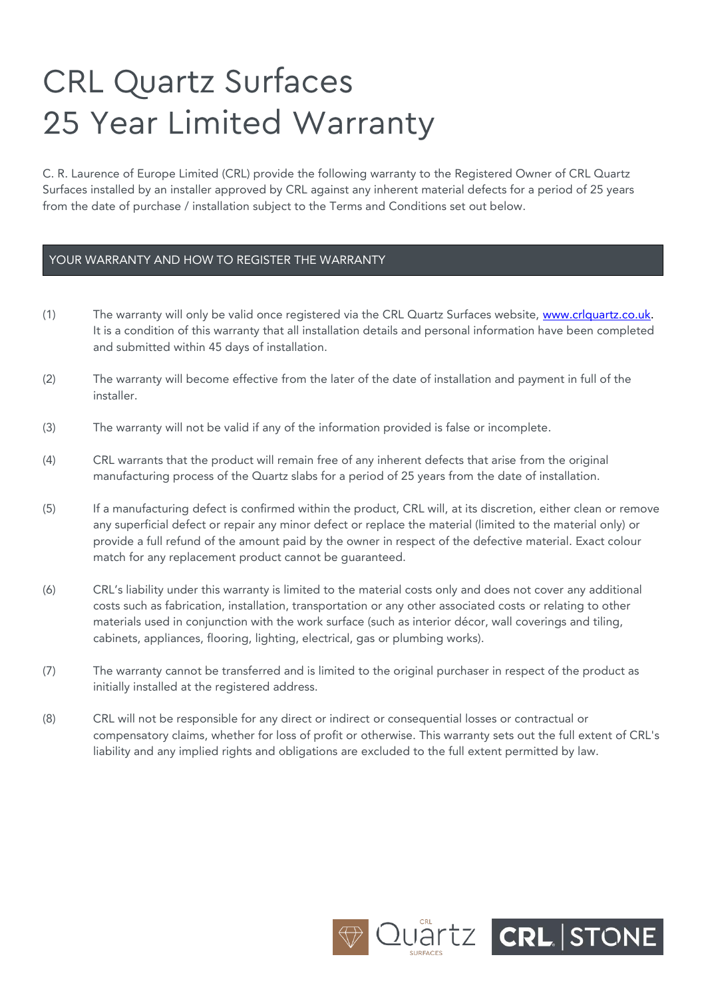## **CRL Quartz Surfaces** 25 Year Limited Warranty

C. R. Laurence of Europe Limited (CRL) provide the following warranty to the Registered Owner of CRL Quartz Surfaces installed by an installer approved by CRL against any inherent material defects for a period of 25 years from the date of purchase / installation subject to the Terms and Conditions set out below.

## YOUR WARRANTY AND HOW TO REGISTER THE WARRANTY

- (1) The warranty will only be valid once registered via the CRL Quartz Surfaces website, [www.crlquartz.co.uk.](http://www.crlquartz.co.uk/) It is a condition of this warranty that all installation details and personal information have been completed and submitted within 45 days of installation.
- (2) The warranty will become effective from the later of the date of installation and payment in full of the installer.
- (3) The warranty will not be valid if any of the information provided is false or incomplete.
- (4) CRL warrants that the product will remain free of any inherent defects that arise from the original manufacturing process of the Quartz slabs for a period of 25 years from the date of installation.
- (5) If a manufacturing defect is confirmed within the product, CRL will, at its discretion, either clean or remove any superficial defect or repair any minor defect or replace the material (limited to the material only) or provide a full refund of the amount paid by the owner in respect of the defective material. Exact colour match for any replacement product cannot be guaranteed.
- (6) CRL's liability under this warranty is limited to the material costs only and does not cover any additional costs such as fabrication, installation, transportation or any other associated costs or relating to other materials used in conjunction with the work surface (such as interior décor, wall coverings and tiling, cabinets, appliances, flooring, lighting, electrical, gas or plumbing works).
- (7) The warranty cannot be transferred and is limited to the original purchaser in respect of the product as initially installed at the registered address.
- (8) CRL will not be responsible for any direct or indirect or consequential losses or contractual or compensatory claims, whether for loss of profit or otherwise. This warranty sets out the full extent of CRL's liability and any implied rights and obligations are excluded to the full extent permitted by law.